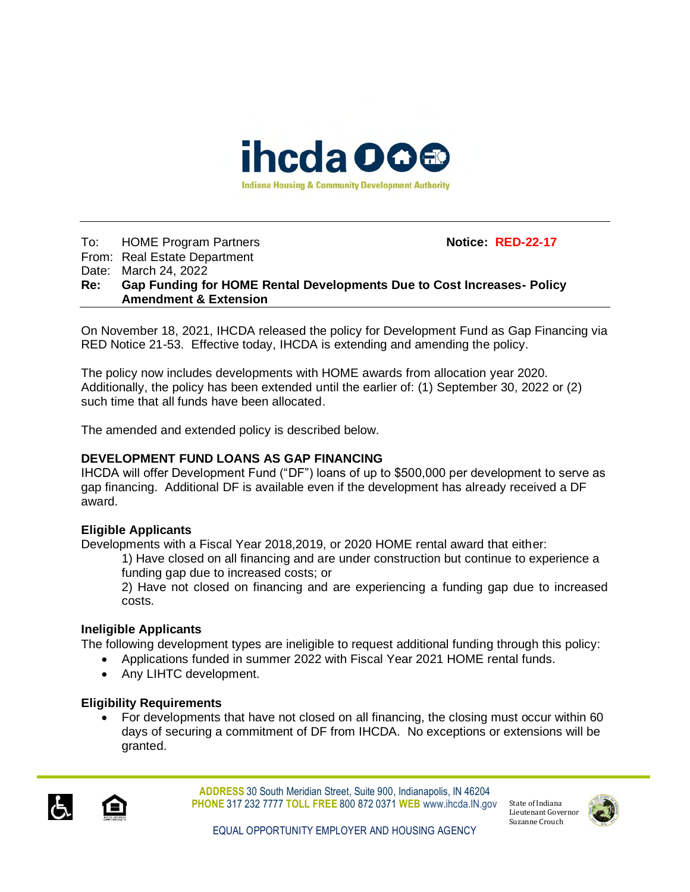

### To: HOME Program Partners **Notice: RED-22-17** From: Real Estate Department Date: March 24, 2022 **Re: Gap Funding for HOME Rental Developments Due to Cost Increases- Policy Amendment & Extension**

On November 18, 2021, IHCDA released the policy for Development Fund as Gap Financing via RED Notice 21-53. Effective today, IHCDA is extending and amending the policy.

The policy now includes developments with HOME awards from allocation year 2020. Additionally, the policy has been extended until the earlier of: (1) September 30, 2022 or (2) such time that all funds have been allocated.

The amended and extended policy is described below.

# **DEVELOPMENT FUND LOANS AS GAP FINANCING**

IHCDA will offer Development Fund ("DF") loans of up to \$500,000 per development to serve as gap financing. Additional DF is available even if the development has already received a DF award.

# **Eligible Applicants**

Developments with a Fiscal Year 2018,2019, or 2020 HOME rental award that either:

1) Have closed on all financing and are under construction but continue to experience a funding gap due to increased costs; or

2) Have not closed on financing and are experiencing a funding gap due to increased costs.

# **Ineligible Applicants**

The following development types are ineligible to request additional funding through this policy:

- Applications funded in summer 2022 with Fiscal Year 2021 HOME rental funds.
- Any LIHTC development.

# **Eligibility Requirements**

• For developments that have not closed on all financing, the closing must occur within 60 days of securing a commitment of DF from IHCDA. No exceptions or extensions will be granted.



**ADDRESS** 30 South Meridian Street, Suite 900, Indianapolis, IN 46204 **PHONE** 317 232 7777 **TOLL FREE** 800 872 0371 **WEB** www.ihcda.IN.gov